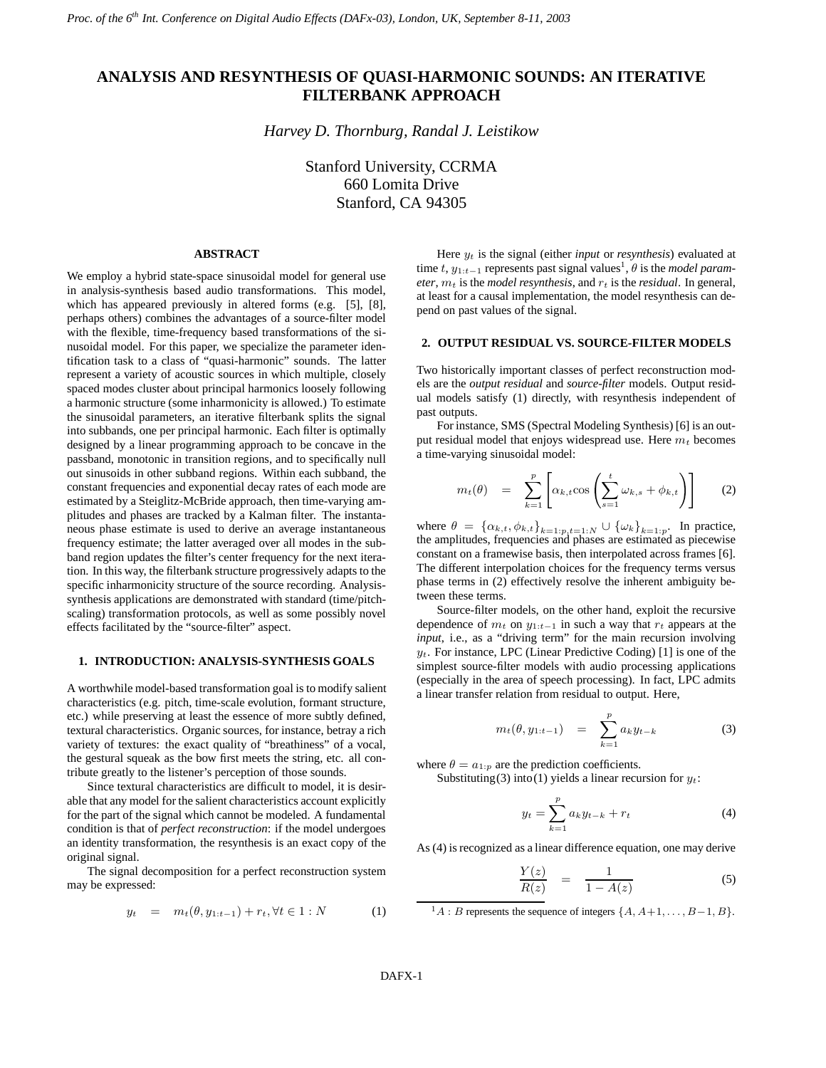# **ANALYSIS AND RESYNTHESIS OF QUASI-HARMONIC SOUNDS: AN ITERATIVE FILTERBANK APPROACH**

*Harvey D. Thornburg, Randal J. Leistikow*

Stanford University, CCRMA 660 Lomita Drive Stanford, CA 94305

## **ABSTRACT**

We employ a hybrid state-space sinusoidal model for general use in analysis-synthesis based audio transformations. This model, which has appeared previously in altered forms (e.g. [5], [8], perhaps others) combines the advantages of a source-filter model with the flexible, time-frequency based transformations of the sinusoidal model. For this paper, we specialize the parameter identification task to a class of "quasi-harmonic" sounds. The latter represent a variety of acoustic sources in which multiple, closely spaced modes cluster about principal harmonics loosely following a harmonic structure (some inharmonicity is allowed.) To estimate the sinusoidal parameters, an iterative filterbank splits the signal into subbands, one per principal harmonic. Each filter is optimally designed by a linear programming approach to be concave in the passband, monotonic in transition regions, and to specifically null out sinusoids in other subband regions. Within each subband, the constant frequencies and exponential decay rates of each mode are estimated by a Steiglitz-McBride approach, then time-varying amplitudes and phases are tracked by a Kalman filter. The instantaneous phase estimate is used to derive an average instantaneous frequency estimate; the latter averaged over all modes in the subband region updates the filter's center frequency for the next iteration. In this way, the filterbank structure progressively adapts to the specific inharmonicity structure of the source recording. Analysissynthesis applications are demonstrated with standard (time/pitchscaling) transformation protocols, as well as some possibly novel effects facilitated by the "source-filter" aspect.

## **1. INTRODUCTION: ANALYSIS-SYNTHESIS GOALS**

A worthwhile model-based transformation goal isto modify salient characteristics (e.g. pitch, time-scale evolution, formant structure, etc.) while preserving at least the essence of more subtly defined, textural characteristics. Organic sources, for instance, betray a rich variety of textures: the exact quality of "breathiness" of a vocal, the gestural squeak as the bow first meets the string, etc. all contribute greatly to the listener's perception of those sounds.

Since textural characteristics are difficult to model, it is desirable that any model for the salient characteristics account explicitly for the part of the signal which cannot be modeled. A fundamental condition is that of *perfect reconstruction*: if the model undergoes an identity transformation, the resynthesis is an exact copy of the original signal.

The signal decomposition for a perfect reconstruction system may be expressed:

$$
y_t = m_t(\theta, y_{1:t-1}) + r_t, \forall t \in 1 : N \tag{1}
$$

Here y<sup>t</sup> is the signal (either *input* or *resynthesis*) evaluated at time  $t$ ,  $y_{1:t-1}$  represents past signal values<sup>1</sup>,  $\theta$  is the *model param* $e$ *ter*,  $m_t$  is the *model resynthesis*, and  $r_t$  is the *residual*. In general, at least for a causal implementation, the model resynthesis can depend on past values of the signal.

## **2. OUTPUT RESIDUAL VS. SOURCE-FILTER MODELS**

Two historically important classes of perfect reconstruction models are the *output residual* and *source-filter* models. Output residual models satisfy (1) directly, with resynthesis independent of past outputs.

For instance, SMS (Spectral Modeling Synthesis) [6] is an output residual model that enjoys widespread use. Here  $m_t$  becomes a time-varying sinusoidal model:

$$
m_t(\theta) = \sum_{k=1}^p \left[ \alpha_{k,t} \cos \left( \sum_{s=1}^t \omega_{k,s} + \phi_{k,t} \right) \right]
$$
 (2)

where  $\theta = {\alpha_{k,t}, \phi_{k,t}}_{k=1:p,t=1:N} \cup {\omega_k}_{k=1:p}$  In practice, the amplitudes, frequencies and phases are estimated as piecewise constant on a framewise basis, then interpolated across frames [6]. The different interpolation choices for the frequency terms versus phase terms in (2) effectively resolve the inherent ambiguity between these terms.

Source-filter models, on the other hand, exploit the recursive dependence of  $m_t$  on  $y_{1:t-1}$  in such a way that  $r_t$  appears at the *input*, i.e., as a "driving term" for the main recursion involving  $y_t$ . For instance, LPC (Linear Predictive Coding) [1] is one of the simplest source-filter models with audio processing applications (especially in the area of speech processing). In fact, LPC admits a linear transfer relation from residual to output. Here,

$$
m_t(\theta, y_{1:t-1}) = \sum_{k=1}^p a_k y_{t-k}
$$
 (3)

where  $\theta = a_{1:p}$  are the prediction coefficients.

Substituting (3) into (1) yields a linear recursion for  $y_t$ :

$$
y_t = \sum_{k=1}^p a_k y_{t-k} + r_t
$$
 (4)

As (4) is recognized as a linear difference equation, one may derive

$$
\frac{Y(z)}{R(z)} = \frac{1}{1 - A(z)}\tag{5}
$$

 $^1A$  : B represents the sequence of integers  $\{A, A+1, \ldots, B-1, B\}.$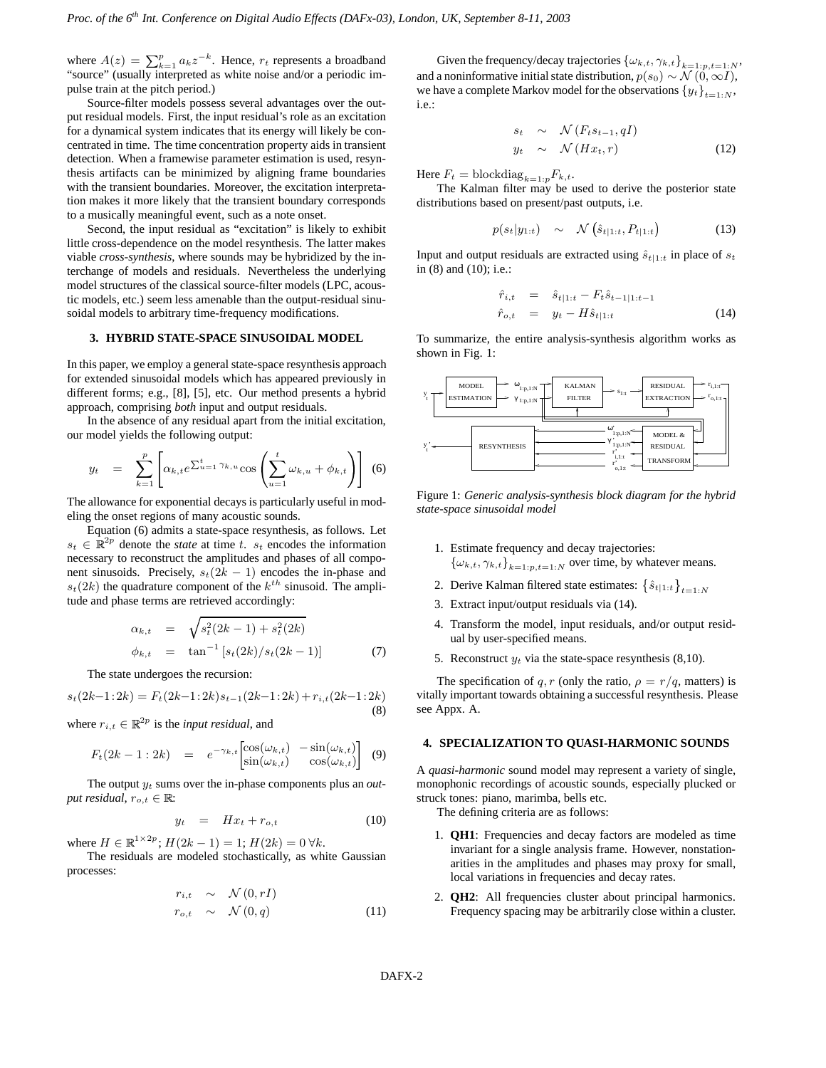where  $A(z) = \sum_{k=1}^{p} a_k z^{-k}$ . Hence,  $r_t$  represents a broadband "source" (usually interpreted as white noise and/or a periodic impulse train at the pitch period.)

Source-filter models possess several advantages over the output residual models. First, the input residual's role as an excitation for a dynamical system indicates that its energy will likely be concentrated in time. The time concentration property aids in transient detection. When a framewise parameter estimation is used, resynthesis artifacts can be minimized by aligning frame boundaries with the transient boundaries. Moreover, the excitation interpretation makes it more likely that the transient boundary corresponds to a musically meaningful event, such as a note onset.

Second, the input residual as "excitation" is likely to exhibit little cross-dependence on the model resynthesis. The latter makes viable *cross-synthesis*, where sounds may be hybridized by the interchange of models and residuals. Nevertheless the underlying model structures of the classical source-filter models (LPC, acoustic models, etc.) seem less amenable than the output-residual sinusoidal models to arbitrary time-frequency modifications.

## **3. HYBRID STATE-SPACE SINUSOIDAL MODEL**

In this paper, we employ a general state-space resynthesis approach for extended sinusoidal models which has appeared previously in different forms; e.g., [8], [5], etc. Our method presents a hybrid approach, comprising *both* input and output residuals.

In the absence of any residual apart from the initial excitation, our model yields the following output:

$$
y_t = \sum_{k=1}^p \left[ \alpha_{k,t} e^{\sum_{u=1}^t \gamma_{k,u}} \cos \left( \sum_{u=1}^t \omega_{k,u} + \phi_{k,t} \right) \right]
$$
 (6)

The allowance for exponential decays is particularly useful in modeling the onset regions of many acoustic sounds.

Equation (6) admits a state-space resynthesis, as follows. Let  $s_t \in \mathbb{R}^{2p}$  denote the *state* at time t.  $s_t$  encodes the information necessary to reconstruct the amplitudes and phases of all component sinusoids. Precisely,  $s_t(2k - 1)$  encodes the in-phase and  $s_t(2k)$  the quadrature component of the  $k^{th}$  sinusoid. The amplitude and phase terms are retrieved accordingly:

$$
\alpha_{k,t} = \sqrt{s_t^2(2k-1) + s_t^2(2k)}
$$
  
\n
$$
\phi_{k,t} = \tan^{-1}[s_t(2k)/s_t(2k-1)]
$$
\n(7)

The state undergoes the recursion:

$$
s_t(2k-1:2k) = F_t(2k-1:2k)s_{t-1}(2k-1:2k) + r_{i,t}(2k-1:2k)
$$
\n(8)

where  $r_{i,t} \in \mathbb{R}^{2p}$  is the *input residual*, and

$$
F_t(2k-1:2k) = e^{-\gamma_{k,t}} \begin{bmatrix} \cos(\omega_{k,t}) & -\sin(\omega_{k,t}) \\ \sin(\omega_{k,t}) & \cos(\omega_{k,t}) \end{bmatrix}
$$
(9)

The output  $y_t$  sums over the in-phase components plus an *output residual,*  $r_{o,t} \in \mathbb{R}$ :

$$
y_t = H x_t + r_{o,t} \tag{10}
$$

where  $H \in \mathbb{R}^{1 \times 2p}$ ;  $H(2k - 1) = 1$ ;  $H(2k) = 0 \forall k$ .

The residuals are modeled stochastically, as white Gaussian processes:

$$
r_{i,t} \sim \mathcal{N}(0,rI)
$$
  
\n
$$
r_{o,t} \sim \mathcal{N}(0,q)
$$
 (11)

Given the frequency/decay trajectories  $\{\omega_{k,t}, \gamma_{k,t}\}_{k=1:p, t=1:N}$ , and a noninformative initial state distribution,  $p(s_0) \sim \mathcal{N}(0, \infty I)$ , we have a complete Markov model for the observations  $\{y_t\}_{t=1:N}$ , i.e.:

$$
s_t \sim \mathcal{N}(F_t s_{t-1}, qI)
$$
  
\n
$$
y_t \sim \mathcal{N}(Hx_t, r)
$$
 (12)

Here  $F_t = \text{blockdiag}_{k=1:p} F_{k,t}.$ 

The Kalman filter may be used to derive the posterior state distributions based on present/past outputs, i.e.

$$
p(s_t|y_{1:t}) \sim \mathcal{N}\left(\hat{s}_{t|1:t}, P_{t|1:t}\right) \tag{13}
$$

Input and output residuals are extracted using  $\hat{s}_{t|1:t}$  in place of  $s_t$ in (8) and (10); i.e.:

$$
\begin{array}{rcl}\n\hat{r}_{i,t} & = & \hat{s}_{t|1:t} - F_t \hat{s}_{t-1|1:t-1} \\
\hat{r}_{o,t} & = & y_t - H \hat{s}_{t|1:t}\n\end{array} \tag{14}
$$

To summarize, the entire analysis-synthesis algorithm works as shown in Fig. 1:



Figure 1: *Generic analysis-synthesis block diagram for the hybrid state-space sinusoidal model*

- 1. Estimate frequency and decay trajectories:  ${\{\omega_{k,t}, \gamma_{k,t}\}}_{k=1:p,t=1:N}$  over time, by whatever means.
- 2. Derive Kalman filtered state estimates:  $\left\{\hat{s}_{t|1:t}\right\}_{t=1:N}$
- 3. Extract input/output residuals via (14).
- 4. Transform the model, input residuals, and/or output residual by user-specified means.
- 5. Reconstruct  $y_t$  via the state-space resynthesis (8,10).

The specification of q, r (only the ratio,  $\rho = r/q$ , matters) is vitally important towards obtaining a successful resynthesis. Please see Appx. A.

## **4. SPECIALIZATION TO QUASI-HARMONIC SOUNDS**

A *quasi-harmonic* sound model may represent a variety of single, monophonic recordings of acoustic sounds, especially plucked or struck tones: piano, marimba, bells etc.

The defining criteria are as follows:

- 1. **QH1**: Frequencies and decay factors are modeled as time invariant for a single analysis frame. However, nonstationarities in the amplitudes and phases may proxy for small, local variations in frequencies and decay rates.
- 2. **QH2**: All frequencies cluster about principal harmonics. Frequency spacing may be arbitrarily close within a cluster.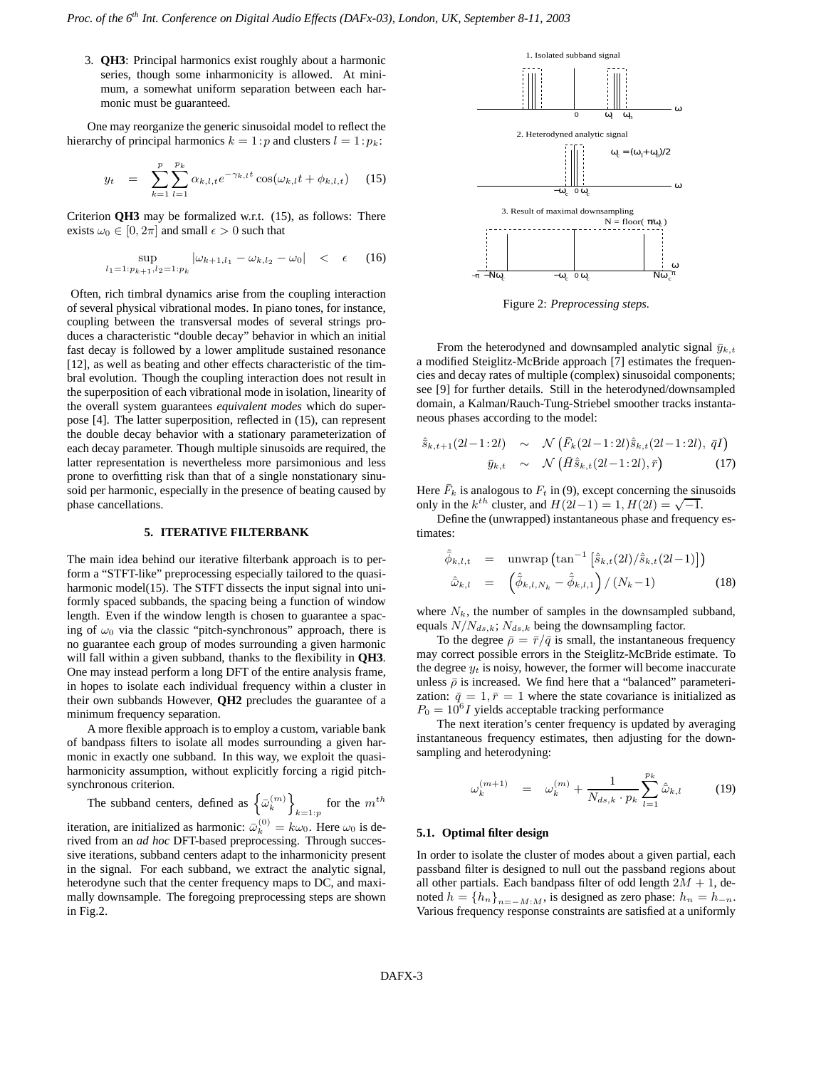3. **QH3**: Principal harmonics exist roughly about a harmonic series, though some inharmonicity is allowed. At minimum, a somewhat uniform separation between each harmonic must be guaranteed.

One may reorganize the generic sinusoidal model to reflect the hierarchy of principal harmonics  $k = 1:p$  and clusters  $l = 1:p_k$ :

$$
y_t = \sum_{k=1}^p \sum_{l=1}^{p_k} \alpha_{k,l,t} e^{-\gamma_{k,l} t} \cos(\omega_{k,l} t + \phi_{k,l,t}) \quad (15)
$$

Criterion **QH3** may be formalized w.r.t. (15), as follows: There exists  $\omega_0 \in [0, 2\pi]$  and small  $\epsilon > 0$  such that

$$
\sup_{l_1=1:p_{k+1},l_2=1:p_k} |\omega_{k+1,l_1} - \omega_{k,l_2} - \omega_0| < \epsilon \quad (16)
$$

Often, rich timbral dynamics arise from the coupling interaction of several physical vibrational modes. In piano tones, for instance, coupling between the transversal modes of several strings produces a characteristic "double decay" behavior in which an initial fast decay is followed by a lower amplitude sustained resonance [12], as well as beating and other effects characteristic of the timbral evolution. Though the coupling interaction does not result in the superposition of each vibrational mode in isolation, linearity of the overall system guarantees *equivalent modes* which do superpose [4]. The latter superposition, reflected in (15), can represent the double decay behavior with a stationary parameterization of each decay parameter. Though multiple sinusoids are required, the latter representation is nevertheless more parsimonious and less prone to overfitting risk than that of a single nonstationary sinusoid per harmonic, especially in the presence of beating caused by phase cancellations.

## **5. ITERATIVE FILTERBANK**

The main idea behind our iterative filterbank approach is to perform a "STFT-like" preprocessing especially tailored to the quasiharmonic model(15). The STFT dissects the input signal into uniformly spaced subbands, the spacing being a function of window length. Even if the window length is chosen to guarantee a spacing of  $\omega_0$  via the classic "pitch-synchronous" approach, there is no guarantee each group of modes surrounding a given harmonic will fall within a given subband, thanks to the flexibility in **QH3**. One may instead perform a long DFT of the entire analysis frame, in hopes to isolate each individual frequency within a cluster in their own subbands However, **QH2** precludes the guarantee of a minimum frequency separation.

A more flexible approach is to employ a custom, variable bank of bandpass filters to isolate all modes surrounding a given harmonic in exactly one subband. In this way, we exploit the quasiharmonicity assumption, without explicitly forcing a rigid pitchsynchronous criterion.

The subband centers, defined as  $\left\{\bar{\omega}_k^{(m)}\right\}_{k=1:p}$  for the  $m^{th}$ 

iteration, are initialized as harmonic:  $\bar{\omega}_k^{(0)} = k\omega_0$ . Here  $\omega_0$  is derived from an *ad hoc* DFT-based preprocessing. Through successive iterations, subband centers adapt to the inharmonicity present in the signal. For each subband, we extract the analytic signal, heterodyne such that the center frequency maps to DC, and maximally downsample. The foregoing preprocessing steps are shown in Fig.2.



Figure 2: *Preprocessing steps.*

From the heterodyned and downsampled analytic signal  $\bar{y}_{k,t}$ a modified Steiglitz-McBride approach [7] estimates the frequencies and decay rates of multiple (complex) sinusoidal components; see [9] for further details. Still in the heterodyned/downsampled domain, a Kalman/Rauch-Tung-Striebel smoother tracks instantaneous phases according to the model:

$$
\hat{\bar{s}}_{k,t+1}(2l-1:2l) \sim \mathcal{N}\left(\bar{F}_k(2l-1:2l)\hat{\bar{s}}_{k,t}(2l-1:2l), \,\bar{q}I\right)
$$

$$
\bar{y}_{k,t} \sim \mathcal{N}\left(\bar{H}\hat{\bar{s}}_{k,t}(2l-1:2l), \,\bar{r}\right) \tag{17}
$$

Here  $\bar{F}_k$  is analogous to  $F_t$  in (9), except concerning the sinusoids only in the  $k^{th}$  cluster, and  $H(2l-1) = 1$ ,  $H(2l) = \sqrt{-1}$ .

Define the (unwrapped) instantaneous phase and frequency estimates:

$$
\hat{\phi}_{k,l,t} = \text{unwrap}\left(\tan^{-1}\left[\hat{s}_{k,t}(2l)/\hat{s}_{k,t}(2l-1)\right]\right)
$$
\n
$$
\hat{\omega}_{k,l} = \left(\hat{\phi}_{k,l,N_k} - \hat{\phi}_{k,l,1}\right) / (N_k - 1) \tag{18}
$$

where  $N_k$ , the number of samples in the downsampled subband, equals  $N/N_{ds,k}$ ;  $N_{ds,k}$  being the downsampling factor.

To the degree  $\bar{\rho} = \bar{r}/\bar{q}$  is small, the instantaneous frequency may correct possible errors in the Steiglitz-McBride estimate. To the degree  $y_t$  is noisy, however, the former will become inaccurate unless  $\bar{\rho}$  is increased. We find here that a "balanced" parameterization:  $\bar{q} = 1, \bar{r} = 1$  where the state covariance is initialized as  $P_0 = 10^6 I$  yields acceptable tracking performance

The next iteration's center frequency is updated by averaging instantaneous frequency estimates, then adjusting for the downsampling and heterodyning:

$$
\omega_k^{(m+1)} = \omega_k^{(m)} + \frac{1}{N_{ds,k} \cdot p_k} \sum_{l=1}^{p_k} \hat{\omega}_{k,l} \tag{19}
$$

#### **5.1. Optimal filter design**

In order to isolate the cluster of modes about a given partial, each passband filter is designed to null out the passband regions about all other partials. Each bandpass filter of odd length  $2M + 1$ , denoted  $h = \{h_n\}_{n=-M:M}$ , is designed as zero phase:  $h_n = h_{-n}$ . Various frequency response constraints are satisfied at a uniformly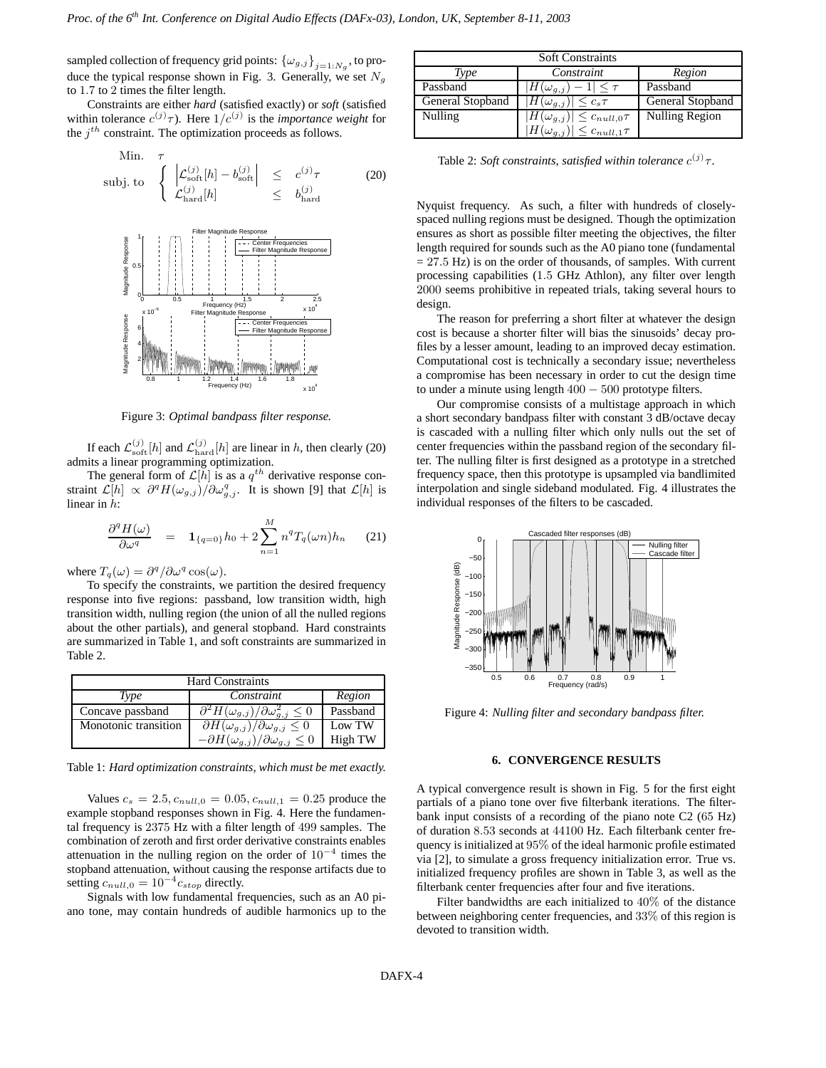sampled collection of frequency grid points:  $\{\omega_{g,j}\}_{j=1:N_g}$ , to produce the typical response shown in Fig. 3. Generally, we set  $N_g$ to 1.7 to 2 times the filter length.

Constraints are either *hard* (satisfied exactly) or *soft* (satisfied within tolerance  $c^{(j)}\tau$ ). Here  $1/c^{(j)}$  is the *importance* weight for the  $j<sup>th</sup>$  constraint. The optimization proceeds as follows.

Min. 
$$
\tau
$$
  
\nsubj. to 
$$
\begin{cases}\n\left| \mathcal{L}_{\text{soft}}^{(j)}[h] - b_{\text{soft}}^{(j)} \right| & \leq c^{(j)}\tau \\
\mathcal{L}_{\text{hard}}^{(j)}[h] & \leq b_{\text{hard}}^{(j)}\n\end{cases}
$$
\n(20)



Figure 3: *Optimal bandpass filter response.*

If each  $\mathcal{L}_{\text{soft}}^{(j)}[h]$  and  $\mathcal{L}_{\text{hard}}^{(j)}[h]$  are linear in h, then clearly (20) admits a linear programming optimization.

The general form of  $\mathcal{L}[h]$  is as a  $q^{th}$  derivative response constraint  $\mathcal{L}[h] \propto \partial^q H(\omega_{g,j}) / \partial \omega_{g,j}^q$ . It is shown [9] that  $\mathcal{L}[h]$  is linear in h:

$$
\frac{\partial^q H(\omega)}{\partial \omega^q} = \mathbf{1}_{\{q=0\}} h_0 + 2 \sum_{n=1}^M n^q T_q(\omega n) h_n \qquad (21)
$$

where  $T_q(\omega) = \frac{\partial^q}{\partial \omega^q \cos(\omega)}$ .

To specify the constraints, we partition the desired frequency response into five regions: passband, low transition width, high transition width, nulling region (the union of all the nulled regions about the other partials), and general stopband. Hard constraints are summarized in Table 1, and soft constraints are summarized in Table 2.

| <b>Hard Constraints</b> |                                                                    |          |  |  |
|-------------------------|--------------------------------------------------------------------|----------|--|--|
| Type                    | Constraint                                                         | Region   |  |  |
| Concave passband        | $\partial^2 H(\omega_{g,j})/\partial \omega_{g,j}^2 \leq 0$        | Passband |  |  |
| Monotonic transition    | $\overline{\partial H(\omega_{g,j})}/\partial \omega_{g,j} \leq 0$ | Low TW   |  |  |
|                         | $-\partial H(\omega_{g,j})/\partial \omega_{g,j} \leq 0$           | High TW  |  |  |

Table 1: *Hard optimization constraints, which must be met exactly.*

Values  $c_s = 2.5$ ,  $c_{null,0} = 0.05$ ,  $c_{null,1} = 0.25$  produce the example stopband responses shown in Fig. 4. Here the fundamental frequency is 2375 Hz with a filter length of 499 samples. The combination of zeroth and first order derivative constraints enables attenuation in the nulling region on the order of  $10^{-4}$  times the stopband attenuation, without causing the response artifacts due to setting  $c_{null,0} = 10^{-4} c_{stop}$  directly.

Signals with low fundamental frequencies, such as an A0 piano tone, may contain hundreds of audible harmonics up to the

| <b>Soft Constraints</b> |                                         |                  |  |  |
|-------------------------|-----------------------------------------|------------------|--|--|
| Type                    | Constraint                              | Region           |  |  |
| Passband                | $H(\omega_{q,j})$<br>$\tau$             | Passband         |  |  |
| General Stopband        | $H(\omega_{a,i}) \leq c_s \tau$         | General Stopband |  |  |
| Nulling                 | $ H(\omega_{g,j})  \leq c_{null,0}\tau$ | Nulling Region   |  |  |
|                         | $H(\omega_{q,j}) \leq c_{null,1} \tau$  |                  |  |  |

Table 2: *Soft constraints, satisfied within tolerance*  $c^{(j)}\tau$ .

Nyquist frequency. As such, a filter with hundreds of closelyspaced nulling regions must be designed. Though the optimization ensures as short as possible filter meeting the objectives, the filter length required for sounds such as the A0 piano tone (fundamental  $= 27.5$  Hz) is on the order of thousands, of samples. With current processing capabilities (1.5 GHz Athlon), any filter over length 2000 seems prohibitive in repeated trials, taking several hours to design.

The reason for preferring a short filter at whatever the design cost is because a shorter filter will bias the sinusoids' decay profiles by a lesser amount, leading to an improved decay estimation. Computational cost is technically a secondary issue; nevertheless a compromise has been necessary in order to cut the design time to under a minute using length  $400 - 500$  prototype filters.

Our compromise consists of a multistage approach in which a short secondary bandpass filter with constant 3 dB/octave decay is cascaded with a nulling filter which only nulls out the set of center frequencies within the passband region of the secondary filter. The nulling filter is first designed as a prototype in a stretched frequency space, then this prototype is upsampled via bandlimited interpolation and single sideband modulated. Fig. 4 illustrates the individual responses of the filters to be cascaded.



Figure 4: *Nulling filter and secondary bandpass filter.*

#### **6. CONVERGENCE RESULTS**

A typical convergence result is shown in Fig. 5 for the first eight partials of a piano tone over five filterbank iterations. The filterbank input consists of a recording of the piano note C2 (65 Hz) of duration 8.53 seconds at 44100 Hz. Each filterbank center frequency is initialized at 95% of the ideal harmonic profile estimated via [2], to simulate a gross frequency initialization error. True vs. initialized frequency profiles are shown in Table 3, as well as the filterbank center frequencies after four and five iterations.

Filter bandwidths are each initialized to 40% of the distance between neighboring center frequencies, and 33% of this region is devoted to transition width.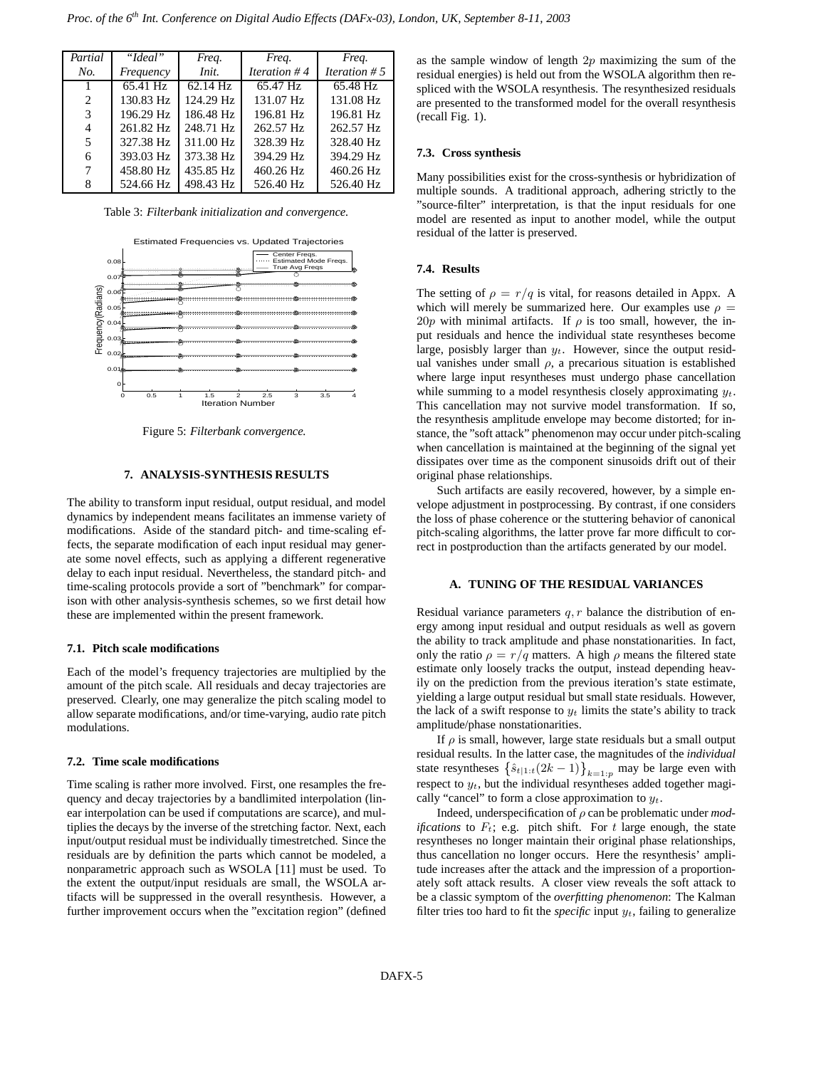| Partial | "Ideal"   | Freq.     | Freq.          | Freq.                  |
|---------|-----------|-----------|----------------|------------------------|
| No.     | Frequency | Init.     | Iteration $#4$ | <i>Iteration</i> $# 5$ |
|         | 65.41 Hz  | 62.14 Hz  | 65.47 Hz       | 65.48 Hz               |
| 2       | 130.83 Hz | 124.29 Hz | 131.07 Hz      | 131.08 Hz              |
| 3       | 196.29 Hz | 186.48 Hz | 196.81 Hz      | 196.81 Hz              |
| 4       | 261.82 Hz | 248.71 Hz | 262.57 Hz      | 262.57 Hz              |
| 5       | 327.38 Hz | 311.00 Hz | 328.39 Hz      | 328.40 Hz              |
| 6       | 393.03 Hz | 373.38 Hz | 394.29 Hz      | 394.29 Hz              |
| 7       | 458.80 Hz | 435.85 Hz | 460.26 Hz      | 460.26 Hz              |
| 8       | 524.66 Hz | 498.43 Hz | 526.40 Hz      | 526.40 Hz              |

Table 3: *Filterbank initialization and convergence.*



Figure 5: *Filterbank convergence.*

## **7. ANALYSIS-SYNTHESIS RESULTS**

The ability to transform input residual, output residual, and model dynamics by independent means facilitates an immense variety of modifications. Aside of the standard pitch- and time-scaling effects, the separate modification of each input residual may generate some novel effects, such as applying a different regenerative delay to each input residual. Nevertheless, the standard pitch- and time-scaling protocols provide a sort of "benchmark" for comparison with other analysis-synthesis schemes, so we first detail how these are implemented within the present framework.

#### **7.1. Pitch scale modifications**

Each of the model's frequency trajectories are multiplied by the amount of the pitch scale. All residuals and decay trajectories are preserved. Clearly, one may generalize the pitch scaling model to allow separate modifications, and/or time-varying, audio rate pitch modulations.

## **7.2. Time scale modifications**

Time scaling is rather more involved. First, one resamples the frequency and decay trajectories by a bandlimited interpolation (linear interpolation can be used if computations are scarce), and multiplies the decays by the inverse of the stretching factor. Next, each input/output residual must be individually timestretched. Since the residuals are by definition the parts which cannot be modeled, a nonparametric approach such as WSOLA [11] must be used. To the extent the output/input residuals are small, the WSOLA artifacts will be suppressed in the overall resynthesis. However, a further improvement occurs when the "excitation region" (defined as the sample window of length  $2p$  maximizing the sum of the residual energies) is held out from the WSOLA algorithm then respliced with the WSOLA resynthesis. The resynthesized residuals are presented to the transformed model for the overall resynthesis (recall Fig. 1).

## **7.3. Cross synthesis**

Many possibilities exist for the cross-synthesis or hybridization of multiple sounds. A traditional approach, adhering strictly to the "source-filter" interpretation, is that the input residuals for one model are resented as input to another model, while the output residual of the latter is preserved.

#### **7.4. Results**

The setting of  $\rho = r/q$  is vital, for reasons detailed in Appx. A which will merely be summarized here. Our examples use  $\rho =$ 20p with minimal artifacts. If  $\rho$  is too small, however, the input residuals and hence the individual state resyntheses become large, posisbly larger than  $y_t$ . However, since the output residual vanishes under small  $\rho$ , a precarious situation is established where large input resyntheses must undergo phase cancellation while summing to a model resynthesis closely approximating  $y_t$ . This cancellation may not survive model transformation. If so, the resynthesis amplitude envelope may become distorted; for instance, the "soft attack" phenomenon may occur under pitch-scaling when cancellation is maintained at the beginning of the signal yet dissipates over time as the component sinusoids drift out of their original phase relationships.

Such artifacts are easily recovered, however, by a simple envelope adjustment in postprocessing. By contrast, if one considers the loss of phase coherence or the stuttering behavior of canonical pitch-scaling algorithms, the latter prove far more difficult to correct in postproduction than the artifacts generated by our model.

## **A. TUNING OF THE RESIDUAL VARIANCES**

Residual variance parameters  $q, r$  balance the distribution of energy among input residual and output residuals as well as govern the ability to track amplitude and phase nonstationarities. In fact, only the ratio  $\rho = r/q$  matters. A high  $\rho$  means the filtered state estimate only loosely tracks the output, instead depending heavily on the prediction from the previous iteration's state estimate, yielding a large output residual but small state residuals. However, the lack of a swift response to  $y_t$  limits the state's ability to track amplitude/phase nonstationarities.

If  $\rho$  is small, however, large state residuals but a small output residual results. In the latter case, the magnitudes of the *individual* state resyntheses  $\left\{ \hat{s}_{t|1:t}(2k-1) \right\}_{k=1:p}$  may be large even with respect to  $y_t$ , but the individual resyntheses added together magically "cancel" to form a close approximation to  $y_t$ .

Indeed, underspecification of ρ can be problematic under *modifications* to  $F_t$ ; e.g. pitch shift. For t large enough, the state resyntheses no longer maintain their original phase relationships, thus cancellation no longer occurs. Here the resynthesis' amplitude increases after the attack and the impression of a proportionately soft attack results. A closer view reveals the soft attack to be a classic symptom of the *overfitting phenomenon*: The Kalman filter tries too hard to fit the *specific* input  $y_t$ , failing to generalize